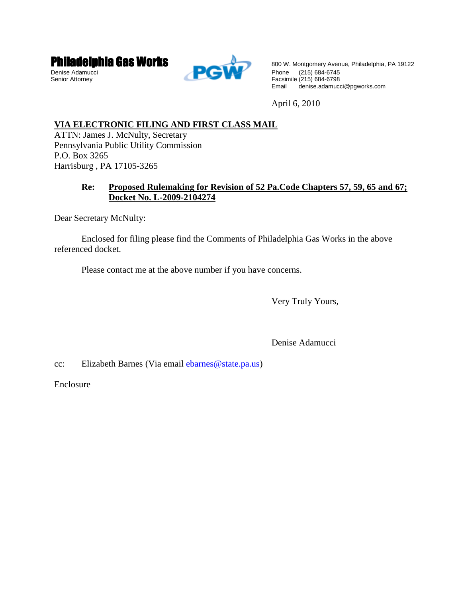



Philadelphia Gas Works Book Montgomery Avenue, Philadelphia, PA 19122<br>Senior Attorney<br>Senior Attorney Senior Attorney Facsimile (215) 684-6798<br>Email denise.adamuc denise.adamucci@pgworks.com

April 6, 2010

# **VIA ELECTRONIC FILING AND FIRST CLASS MAIL**

ATTN: James J. McNulty, Secretary Pennsylvania Public Utility Commission P.O. Box 3265 Harrisburg , PA 17105-3265

## **Re: Proposed Rulemaking for Revision of 52 Pa.Code Chapters 57, 59, 65 and 67; Docket No. L-2009-2104274**

Dear Secretary McNulty:

 Enclosed for filing please find the Comments of Philadelphia Gas Works in the above referenced docket.

Please contact me at the above number if you have concerns.

Very Truly Yours,

Denise Adamucci

cc: Elizabeth Barnes (Via email ebarnes@state.pa.us)

Enclosure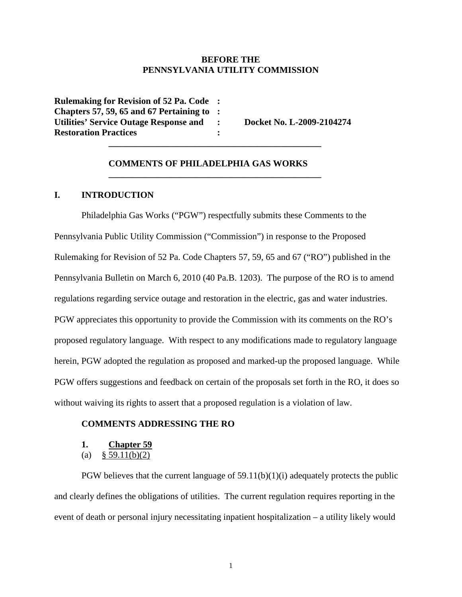### **BEFORE THE PENNSYLVANIA UTILITY COMMISSION**

**Rulemaking for Revision of 52 Pa. Code : Chapters 57, 59, 65 and 67 Pertaining to : Utilities' Service Outage Response and : Docket No. L-2009-2104274 Restoration Practices : 1999 : 1999 : 1999 : 1999 : 1999 : 1999 : 1999 : 1999 : 1999 : 1999 : 1999 : 1999 : 1999 : 1999 : 1999 : 1999 : 1999 : 1999 : 1999 : 1999 : 1999 : 1999 : 1999 : 1999 : 1999 : 1999 : 1999 : 1999 : 1 \_\_\_\_\_\_\_\_\_\_\_\_\_\_\_\_\_\_\_\_\_\_\_\_\_\_\_\_\_\_\_\_\_\_\_\_\_\_\_\_\_\_\_\_\_\_\_** 

#### **COMMENTS OF PHILADELPHIA GAS WORKS**

 **\_\_\_\_\_\_\_\_\_\_\_\_\_\_\_\_\_\_\_\_\_\_\_\_\_\_\_\_\_\_\_\_\_\_\_\_\_\_\_\_\_\_\_\_\_\_\_** 

### **I. INTRODUCTION**

 Philadelphia Gas Works ("PGW") respectfully submits these Comments to the Pennsylvania Public Utility Commission ("Commission") in response to the Proposed Rulemaking for Revision of 52 Pa. Code Chapters 57, 59, 65 and 67 ("RO") published in the Pennsylvania Bulletin on March 6, 2010 (40 Pa.B. 1203). The purpose of the RO is to amend regulations regarding service outage and restoration in the electric, gas and water industries. PGW appreciates this opportunity to provide the Commission with its comments on the RO's proposed regulatory language. With respect to any modifications made to regulatory language herein, PGW adopted the regulation as proposed and marked-up the proposed language. While PGW offers suggestions and feedback on certain of the proposals set forth in the RO, it does so without waiving its rights to assert that a proposed regulation is a violation of law.

#### **COMMENTS ADDRESSING THE RO**

- **1. Chapter 59**
- (a)  $§ 59.11(b)(2)$

PGW believes that the current language of  $59.11(b)(1)(i)$  adequately protects the public and clearly defines the obligations of utilities. The current regulation requires reporting in the event of death or personal injury necessitating inpatient hospitalization – a utility likely would

1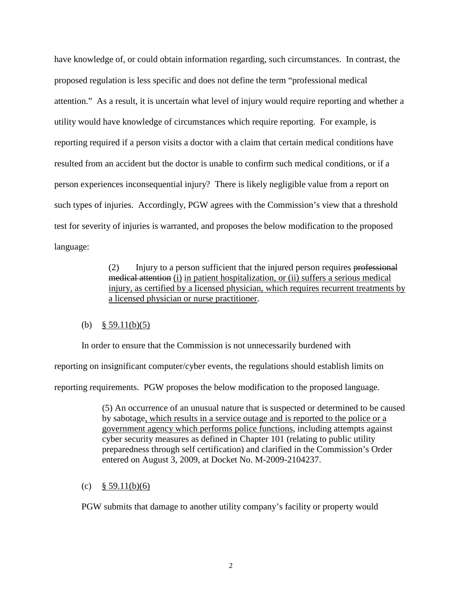have knowledge of, or could obtain information regarding, such circumstances. In contrast, the proposed regulation is less specific and does not define the term "professional medical attention." As a result, it is uncertain what level of injury would require reporting and whether a utility would have knowledge of circumstances which require reporting. For example, is reporting required if a person visits a doctor with a claim that certain medical conditions have resulted from an accident but the doctor is unable to confirm such medical conditions, or if a person experiences inconsequential injury? There is likely negligible value from a report on such types of injuries. Accordingly, PGW agrees with the Commission's view that a threshold test for severity of injuries is warranted, and proposes the below modification to the proposed language:

> (2) Injury to a person sufficient that the injured person requires professional medical attention (i) in patient hospitalization, or (ii) suffers a serious medical injury, as certified by a licensed physician, which requires recurrent treatments by a licensed physician or nurse practitioner.

### (b)  $§ 59.11(b)(5)$

In order to ensure that the Commission is not unnecessarily burdened with

reporting on insignificant computer/cyber events, the regulations should establish limits on

reporting requirements. PGW proposes the below modification to the proposed language.

(5) An occurrence of an unusual nature that is suspected or determined to be caused by sabotage, which results in a service outage and is reported to the police or a government agency which performs police functions, including attempts against cyber security measures as defined in Chapter 101 (relating to public utility preparedness through self certification) and clarified in the Commission's Order entered on August 3, 2009, at Docket No. M-2009-2104237.

(c) § 59.11(b)(6)

PGW submits that damage to another utility company's facility or property would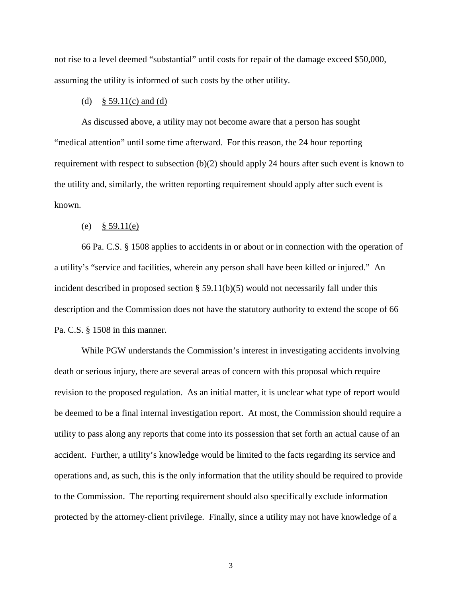not rise to a level deemed "substantial" until costs for repair of the damage exceed \$50,000, assuming the utility is informed of such costs by the other utility.

#### (d)  $§ 59.11(c)$  and (d)

As discussed above, a utility may not become aware that a person has sought "medical attention" until some time afterward. For this reason, the 24 hour reporting requirement with respect to subsection (b)(2) should apply 24 hours after such event is known to the utility and, similarly, the written reporting requirement should apply after such event is known.

#### (e) § 59.11(e)

66 Pa. C.S. § 1508 applies to accidents in or about or in connection with the operation of a utility's "service and facilities, wherein any person shall have been killed or injured." An incident described in proposed section  $\S 59.11(b)(5)$  would not necessarily fall under this description and the Commission does not have the statutory authority to extend the scope of 66 Pa. C.S. § 1508 in this manner.

While PGW understands the Commission's interest in investigating accidents involving death or serious injury, there are several areas of concern with this proposal which require revision to the proposed regulation. As an initial matter, it is unclear what type of report would be deemed to be a final internal investigation report. At most, the Commission should require a utility to pass along any reports that come into its possession that set forth an actual cause of an accident. Further, a utility's knowledge would be limited to the facts regarding its service and operations and, as such, this is the only information that the utility should be required to provide to the Commission. The reporting requirement should also specifically exclude information protected by the attorney-client privilege. Finally, since a utility may not have knowledge of a

3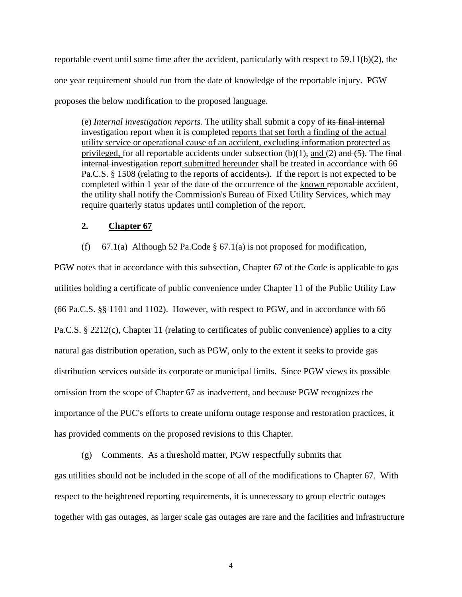reportable event until some time after the accident, particularly with respect to 59.11(b)(2), the one year requirement should run from the date of knowledge of the reportable injury. PGW proposes the below modification to the proposed language.

(e) *Internal investigation reports.* The utility shall submit a copy of its final internal investigation report when it is completed reports that set forth a finding of the actual utility service or operational cause of an accident, excluding information protected as privileged, for all reportable accidents under subsection  $(b)(1)$ , and  $(2)$  and  $(5)$ . The final internal investigation report submitted hereunder shall be treated in accordance with 66 Pa.C.S. § 1508 (relating to the reports of accidents.). If the report is not expected to be completed within 1 year of the date of the occurrence of the known reportable accident, the utility shall notify the Commission's Bureau of Fixed Utility Services, which may require quarterly status updates until completion of the report.

### **2. Chapter 67**

(f) 67.1(a) Although 52 Pa.Code § 67.1(a) is not proposed for modification,

PGW notes that in accordance with this subsection, Chapter 67 of the Code is applicable to gas utilities holding a certificate of public convenience under Chapter 11 of the Public Utility Law (66 Pa.C.S. §§ 1101 and 1102). However, with respect to PGW, and in accordance with 66 Pa.C.S. § 2212(c), Chapter 11 (relating to certificates of public convenience) applies to a city natural gas distribution operation, such as PGW, only to the extent it seeks to provide gas distribution services outside its corporate or municipal limits. Since PGW views its possible omission from the scope of Chapter 67 as inadvertent, and because PGW recognizes the importance of the PUC's efforts to create uniform outage response and restoration practices, it has provided comments on the proposed revisions to this Chapter.

(g) Comments. As a threshold matter, PGW respectfully submits that gas utilities should not be included in the scope of all of the modifications to Chapter 67. With respect to the heightened reporting requirements, it is unnecessary to group electric outages together with gas outages, as larger scale gas outages are rare and the facilities and infrastructure